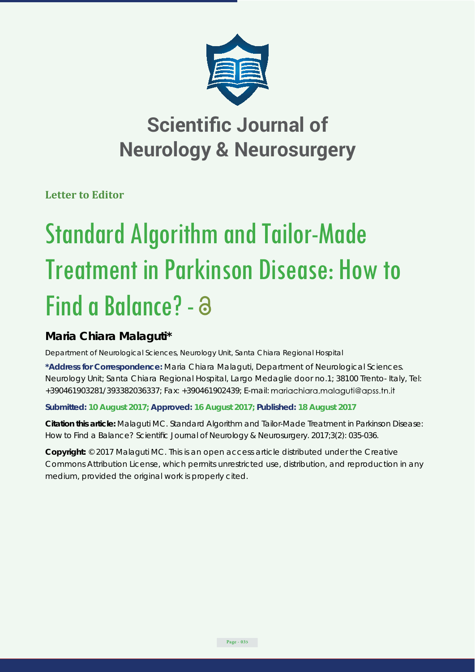

# **Scientific Journal of Neurology & Neurosurgery**

**Letter to Editor**

# Standard Algorithm and Tailor-Made Treatment in Parkinson Disease: How to Find a Balance? - a

## **Maria Chiara Malaguti\***

*Department of Neurological Sciences, Neurology Unit, Santa Chiara Regional Hospital*

**\*Address for Correspondence:** Maria Chiara Malaguti, Department of Neurological Sciences. Neurology Unit; Santa Chiara Regional Hospital, Largo Medaglie door no.1; 38100 Trento- Italy, Tel: +390461903281/393382036337; Fax: +390461902439; E-mail:

**Submitted: 10 August 2017; Approved: 16 August 2017; Published: 18 August 2017**

**Citation this article:** Malaguti MC. Standard Algorithm and Tailor-Made Treatment in Parkinson Disease: How to Find a Balance? Scientific Journal of Neurology & Neurosurgery. 2017;3(2): 035-036.

**Copyright:** © 2017 Malaguti MC. This is an open access article distributed under the Creative Commons Attribution License, which permits unrestricted use, distribution, and reproduction in any medium, provided the original work is properly cited.